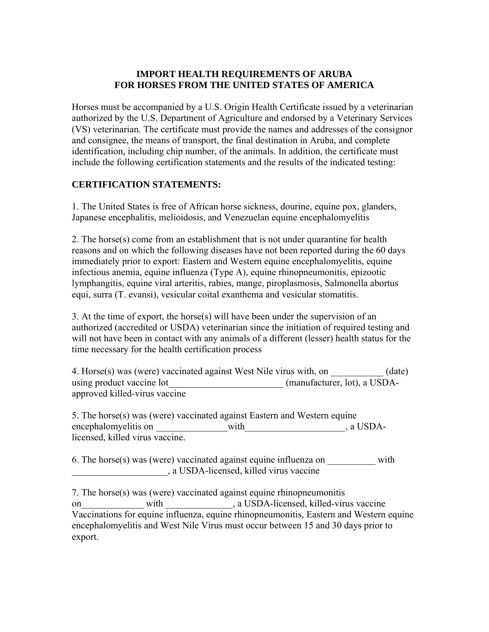### **IMPORT HEALTH REQUIREMENTS OF ARUBA FOR HORSES FROM THE UNITED STATES OF AMERICA**

Horses must be accompanied by a U.S. Origin Health Certificate issued by a veterinarian authorized by the U.S. Department of Agriculture and endorsed by a Veterinary Services (VS) veterinarian. The certificate must provide the names and addresses of the consignor and consignee, the means of transport, the final destination in Aruba, and complete identification, including chip number, of the animals. In addition, the certificate must include the following certification statements and the results of the indicated testing:

## **CERTIFICATION STATEMENTS:**

1. The United States is free of African horse sickness, dourine, equine pox, glanders, Japanese encephalitis, melioidosis, and Venezuelan equine encephalomyelitis

2. The horse(s) come from an establishment that is not under quarantine for health reasons and on which the following diseases have not been reported during the 60 days immediately prior to export: Eastern and Western equine encephalomyelitis, equine infectious anemia, equine influenza (Type A), equine rhinopneumonitis, epizootic lymphangitis, equine viral arteritis, rabies, mange, piroplasmosis, Salmonella abortus equi, surra (T. evansi), vesicular coital exanthema and vesicular stomatitis.

3. At the time of export, the horse(s) will have been under the supervision of an authorized (accredited or USDA) veterinarian since the initiation of required testing and will not have been in contact with any animals of a different (lesser) health status for the time necessary for the health certification process

| 4. Horse(s) was (were) vaccinated against West Nile virus with, on | (date)                       |
|--------------------------------------------------------------------|------------------------------|
| using product vaccine lot                                          | (manufacturer, lot), a USDA- |
| approved killed-virus vaccine                                      |                              |

5. The horse(s) was (were) vaccinated against Eastern and Western equine encephalomyelitis on with the same of  $\mu$  a USDAlicensed, killed virus vaccine.

6. The horse $(s)$  was (were) vaccinated against equine influenza on  $\omega$  with \_\_\_\_\_\_\_\_\_\_\_\_\_\_\_\_\_\_\_\_, a USDA-licensed, killed virus vaccine

7. The horse(s) was (were) vaccinated against equine rhinopneumonitis on\_\_\_\_\_\_\_\_\_\_\_\_\_\_\_ with \_\_\_\_\_\_\_\_\_\_\_\_\_\_, a USDA-licensed, killed-virus vaccine Vaccinations for equine influenza, equine rhinopneumonitis, Eastern and Western equine encephalomyelitis and West Nile Virus must occur between 15 and 30 days prior to export.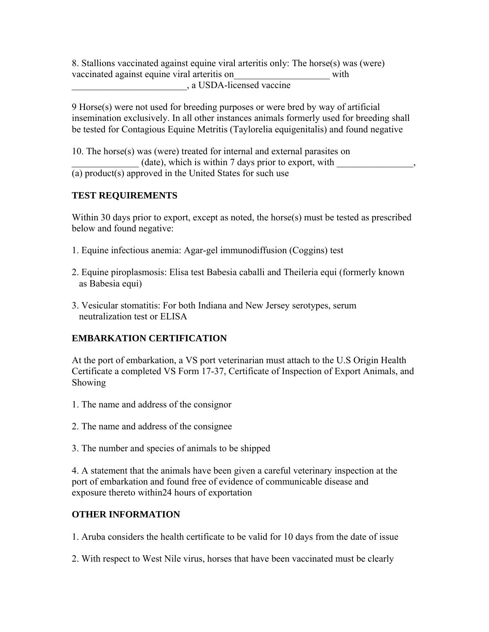8. Stallions vaccinated against equine viral arteritis only: The horse(s) was (were) vaccinated against equine viral arteritis on with \_\_\_\_\_\_\_\_\_\_\_\_\_\_\_\_\_\_\_\_\_\_\_\_, a USDA-licensed vaccine

9 Horse(s) were not used for breeding purposes or were bred by way of artificial insemination exclusively. In all other instances animals formerly used for breeding shall be tested for Contagious Equine Metritis (Taylorelia equigenitalis) and found negative

10. The horse(s) was (were) treated for internal and external parasites on  $(data)$ , which is within 7 days prior to export, with  $\frac{1}{2}$ , (a) product(s) approved in the United States for such use

### **TEST REQUIREMENTS**

Within 30 days prior to export, except as noted, the horse(s) must be tested as prescribed below and found negative:

- 1. Equine infectious anemia: Agar-gel immunodiffusion (Coggins) test
- 2. Equine piroplasmosis: Elisa test Babesia caballi and Theileria equi (formerly known as Babesia equi)
- 3. Vesicular stomatitis: For both Indiana and New Jersey serotypes, serum neutralization test or ELISA

# **EMBARKATION CERTIFICATION**

At the port of embarkation, a VS port veterinarian must attach to the U.S Origin Health Certificate a completed VS Form 17-37, Certificate of Inspection of Export Animals, and Showing

- 1. The name and address of the consignor
- 2. The name and address of the consignee
- 3. The number and species of animals to be shipped

4. A statement that the animals have been given a careful veterinary inspection at the port of embarkation and found free of evidence of communicable disease and exposure thereto within24 hours of exportation

### **OTHER INFORMATION**

1. Aruba considers the health certificate to be valid for 10 days from the date of issue

2. With respect to West Nile virus, horses that have been vaccinated must be clearly